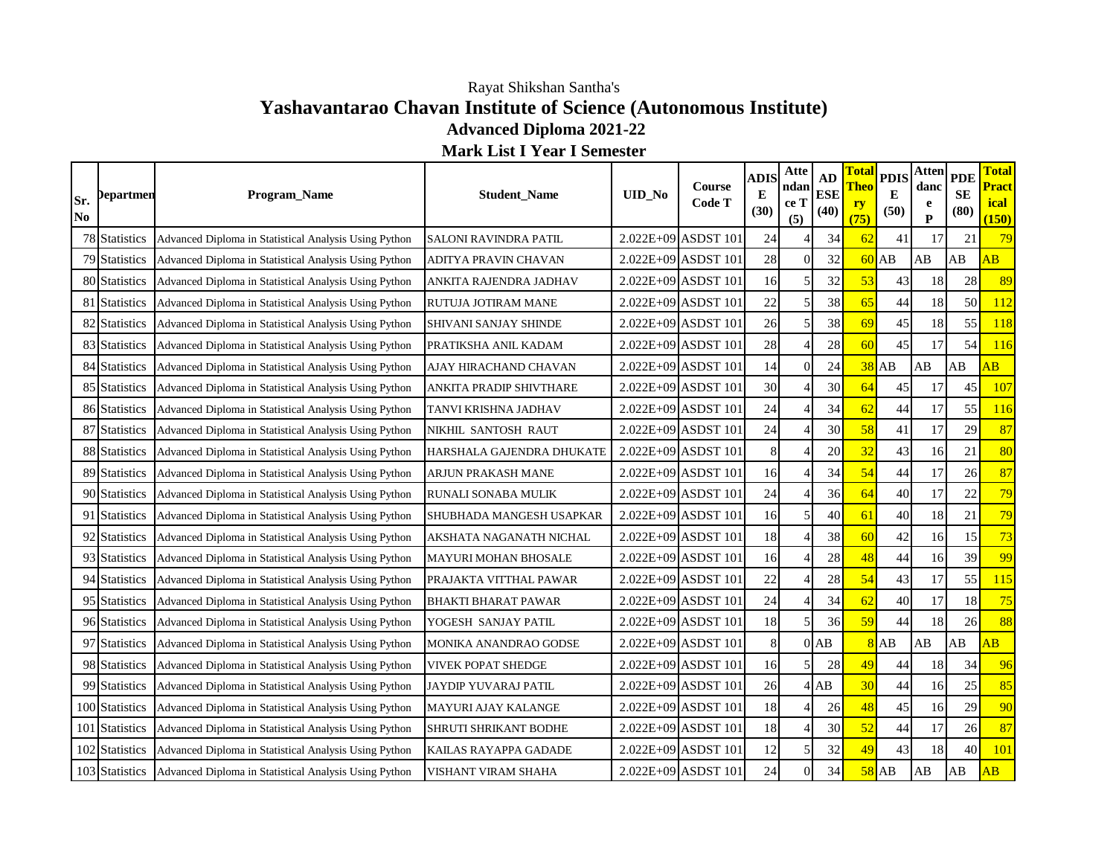## **Yashavantarao Chavan Institute of Science (Autonomous Institute) Advanced Diploma 2021-22 Mark List I Year I Semester** Rayat Shikshan Santha's

| Sr.<br>N <sub>0</sub> | <b>Departmen</b> | Program_Name                                          | <b>Student_Name</b>          | UID_No | Course<br>Code T      | <b>ADIS</b><br>Е<br>(30) | Atte<br>ndan<br>ce T<br>(5) | AD<br><b>ESE</b><br>(40) | <b>Tota</b><br><b>Theo</b><br>ry<br>(75) | <b>PDIS</b><br>E<br>(50) | <b>Atten</b><br>danc<br>e<br>P | <b>PDE</b><br><b>SE</b><br>(80) | <b>Total</b><br><b>Pract</b><br><i>ical</i><br>(150) |
|-----------------------|------------------|-------------------------------------------------------|------------------------------|--------|-----------------------|--------------------------|-----------------------------|--------------------------|------------------------------------------|--------------------------|--------------------------------|---------------------------------|------------------------------------------------------|
|                       | 78 Statistics    | Advanced Diploma in Statistical Analysis Using Python | <b>SALONI RAVINDRA PATIL</b> |        | 2.022E+09 ASDST 101   | 24                       |                             | 34                       | 62                                       | 41                       | 17                             | 21                              | 79                                                   |
|                       | 79 Statistics    | Advanced Diploma in Statistical Analysis Using Python | ADITYA PRAVIN CHAVAN         |        | 2.022E+09 ASDST 101   | 28                       | $\overline{0}$              | 32                       |                                          | $60$ AB                  | AB                             | AB                              | $\overline{AB}$                                      |
|                       | 80 Statistics    | Advanced Diploma in Statistical Analysis Using Python | ANKITA RAJENDRA JADHAV       |        | 2.022E+09 ASDST 101   | 16                       | $\vert$                     | 32                       | 53                                       | 43                       | 18                             | 28                              | 89                                                   |
|                       | 81 Statistics    | Advanced Diploma in Statistical Analysis Using Python | RUTUJA JOTIRAM MANE          |        | 2.022E+09 ASDST 101   | 22                       | 5 <sup>1</sup>              | 38                       | 65                                       | 44                       | 18                             | 50                              | 112                                                  |
|                       | 82 Statistics    | Advanced Diploma in Statistical Analysis Using Python | SHIVANI SANJAY SHINDE        |        | 2.022E+09 ASDST 101   | 26                       | $\mathfrak{S}$              | 38                       | 69                                       | 45                       | 18                             | 55                              | 118                                                  |
|                       | 83 Statistics    | Advanced Diploma in Statistical Analysis Using Python | PRATIKSHA ANIL KADAM         |        | 2.022E+09 ASDST 101   | 28                       | 4                           | 28                       | 60                                       | 45                       | 17                             | 54                              | <b>116</b>                                           |
|                       | 84 Statistics    | Advanced Diploma in Statistical Analysis Using Python | AJAY HIRACHAND CHAVAN        |        | 2.022E+09 ASDST 101   | 14                       | $\overline{0}$              | 24                       | 38                                       | <b>AB</b>                | AB                             | AB                              | $\overline{AB}$                                      |
|                       | 85 Statistics    | Advanced Diploma in Statistical Analysis Using Python | ANKITA PRADIP SHIVTHARE      |        | 2.022E+09 ASDST 101   | 30                       | 4                           | 30                       | 64                                       | 45                       | 17                             | 45                              | 107                                                  |
|                       | 86 Statistics    | Advanced Diploma in Statistical Analysis Using Python | TANVI KRISHNA JADHAV         |        | $2.022E+09$ ASDST 101 | 24                       |                             | 34                       | 62                                       | 44                       | 17                             | 55                              | 116                                                  |
|                       | 87 Statistics    | Advanced Diploma in Statistical Analysis Using Python | NIKHIL SANTOSH RAUT          |        | 2.022E+09 ASDST 101   | 24                       |                             | 30 <sup>°</sup>          | 58                                       | 41                       | 17                             | 29                              | 87                                                   |
|                       | 88 Statistics    | Advanced Diploma in Statistical Analysis Using Python | HARSHALA GAJENDRA DHUKATE    |        | 2.022E+09 ASDST 101   | 8                        |                             | 20                       | 32                                       | 43                       | 16                             | 21                              | 80                                                   |
|                       | 89 Statistics    | Advanced Diploma in Statistical Analysis Using Python | ARJUN PRAKASH MANE           |        | 2.022E+09 ASDST 101   | 16                       |                             | 34                       | 54                                       | 44                       | 17                             | 26                              | 87                                                   |
|                       | 90 Statistics    | Advanced Diploma in Statistical Analysis Using Python | RUNALI SONABA MULIK          |        | 2.022E+09 ASDST 101   | 24                       |                             | 36                       | 64                                       | 40                       | 17                             | 22                              | 79                                                   |
|                       | 91 Statistics    | Advanced Diploma in Statistical Analysis Using Python | SHUBHADA MANGESH USAPKAR     |        | 2.022E+09 ASDST 101   | 16                       | $\mathfrak{S}$              | 40                       | 61                                       | 40                       | 18                             | 21                              | 79                                                   |
|                       | 92 Statistics    | Advanced Diploma in Statistical Analysis Using Python | AKSHATA NAGANATH NICHAL      |        | $2.022E+09$ ASDST 101 | 18                       |                             | 38                       | 60                                       | 42                       | 16                             | 15                              | 73                                                   |
|                       | 93 Statistics    | Advanced Diploma in Statistical Analysis Using Python | MAYURI MOHAN BHOSALE         |        | 2.022E+09 ASDST 101   | 16                       | 4                           | 28                       | 48                                       | 44                       | 16                             | 39                              | 99                                                   |
|                       | 94 Statistics    | Advanced Diploma in Statistical Analysis Using Python | PRAJAKTA VITTHAL PAWAR       |        | $2.022E+09$ ASDST 101 | 22                       | Δ                           | 28                       | 54                                       | 43                       | 17                             | 55                              | 115                                                  |
|                       | 95 Statistics    | Advanced Diploma in Statistical Analysis Using Python | <b>BHAKTI BHARAT PAWAR</b>   |        | 2.022E+09 ASDST 101   | 24                       | 4                           | 34                       | 62                                       | 40                       | 17                             | 18                              | 75                                                   |
|                       | 96 Statistics    | Advanced Diploma in Statistical Analysis Using Python | YOGESH SANJAY PATIL          |        | 2.022E+09 ASDST 101   | 18                       | $\mathcal{F}$               | 36                       | 59                                       | 44                       | 18                             | 26                              | 88                                                   |
|                       | 97 Statistics    | Advanced Diploma in Statistical Analysis Using Python | MONIKA ANANDRAO GODSE        |        | 2.022E+09 ASDST 101   | $\,8\,$                  |                             | $0$ AB                   |                                          | $8$ AB                   | AB                             | AB                              | $\overline{AB}$                                      |
|                       | 98 Statistics    | Advanced Diploma in Statistical Analysis Using Python | <b>VIVEK POPAT SHEDGE</b>    |        | $2.022E+09$ ASDST 101 | 16                       | $\mathcal{F}$               | 28                       | 49                                       | 44                       | 18                             | 34                              | 96                                                   |
|                       | 99 Statistics    | Advanced Diploma in Statistical Analysis Using Python | JAYDIP YUVARAJ PATIL         |        | 2.022E+09 ASDST 101   | 26                       |                             | $4$ $AB$                 | 30                                       | 44                       | 16                             | 25                              | 85                                                   |
|                       | 100 Statistics   | Advanced Diploma in Statistical Analysis Using Python | MAYURI AJAY KALANGE          |        | 2.022E+09 ASDST 101   | 18                       |                             | 26                       | 48                                       | 45                       | 16                             | 29                              | 90                                                   |
|                       | 101 Statistics   | Advanced Diploma in Statistical Analysis Using Python | SHRUTI SHRIKANT BODHE        |        | 2.022E+09 ASDST 101   | 18                       |                             | 30                       | 52                                       | 44                       | 17                             | 26                              | 87                                                   |
|                       | 102 Statistics   | Advanced Diploma in Statistical Analysis Using Python | KAILAS RAYAPPA GADADE        |        | 2.022E+09 ASDST 101   | 12                       | $\overline{5}$              | 32                       | 49                                       | 43                       | 18                             | 40                              | <b>101</b>                                           |
|                       | 103 Statistics   | Advanced Diploma in Statistical Analysis Using Python | VISHANT VIRAM SHAHA          |        | 2.022E+09 ASDST 101   | 24                       | $\Omega$                    | 34                       | 58                                       | AB                       | AB                             | AB                              | $\overline{AB}$                                      |